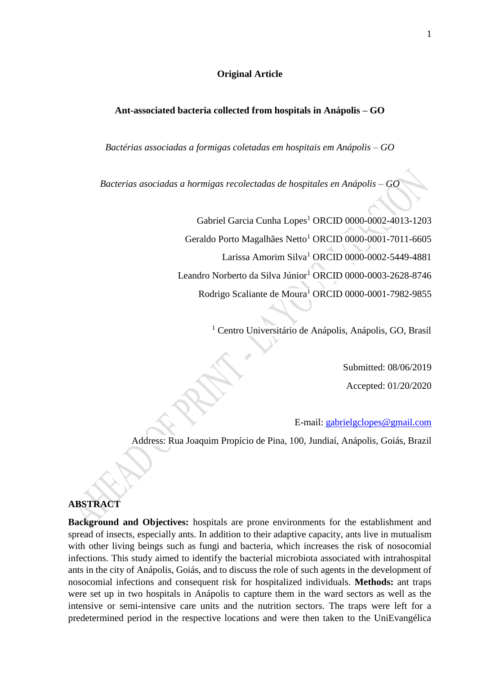#### **Original Article**

#### **Ant-associated bacteria collected from hospitals in Anápolis – GO**

*Bactérias associadas a formigas coletadas em hospitais em Anápolis – GO*

*Bacterias asociadas a hormigas recolectadas de hospitales en Anápolis – GO*

Gabriel Garcia Cunha Lopes<sup>1</sup> ORCID 0000-0002-4013-1203 Geraldo Porto Magalhães Netto<sup>1</sup> ORCID 0000-0001-7011-6605 Larissa Amorim Silva<sup>1</sup> ORCID 0000-0002-5449-4881 Leandro Norberto da Silva Júnior<sup>1</sup> ORCID 0000-0003-2628-8746 Rodrigo Scaliante de Moura<sup>1</sup> ORCID 0000-0001-7982-9855

<sup>1</sup> Centro Universitário de Anápolis, Anápolis, GO, Brasil

Submitted: 08/06/2019 Accepted: 01/20/2020

E-mail: [gabrielgclopes@gmail.com](mailto:gabrielgclopes@gmail.com)

Address: Rua Joaquim Propício de Pina, 100, Jundiaí, Anápolis, Goiás, Brazil

## **ABSTRACT**

**Background and Objectives:** hospitals are prone environments for the establishment and spread of insects, especially ants. In addition to their adaptive capacity, ants live in mutualism with other living beings such as fungi and bacteria, which increases the risk of nosocomial infections. This study aimed to identify the bacterial microbiota associated with intrahospital ants in the city of Anápolis, Goiás, and to discuss the role of such agents in the development of nosocomial infections and consequent risk for hospitalized individuals. **Methods:** ant traps were set up in two hospitals in Anápolis to capture them in the ward sectors as well as the intensive or semi-intensive care units and the nutrition sectors. The traps were left for a predetermined period in the respective locations and were then taken to the UniEvangélica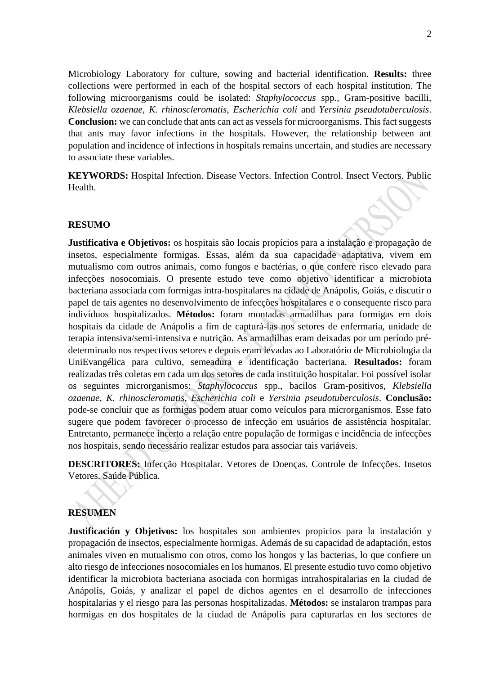Microbiology Laboratory for culture, sowing and bacterial identification. **Results:** three collections were performed in each of the hospital sectors of each hospital institution. The following microorganisms could be isolated: *Staphylococcus* spp., Gram-positive bacilli, *Klebsiella ozaenae*, *K. rhinoscleromatis*, *Escherichia coli* and *Yersinia pseudotuberculosis*. **Conclusion:** we can conclude that ants can act as vessels for microorganisms. This fact suggests that ants may favor infections in the hospitals. However, the relationship between ant population and incidence of infections in hospitals remains uncertain, and studies are necessary to associate these variables.

**KEYWORDS:** Hospital Infection. Disease Vectors. Infection Control. Insect Vectors. Public Health.

#### **RESUMO**

**Justificativa e Objetivos:** os hospitais são locais propícios para a instalação e propagação de insetos, especialmente formigas. Essas, além da sua capacidade adaptativa, vivem em mutualismo com outros animais, como fungos e bactérias, o que confere risco elevado para infecções nosocomiais. O presente estudo teve como objetivo identificar a microbiota bacteriana associada com formigas intra-hospitalares na cidade de Anápolis, Goiás, e discutir o papel de tais agentes no desenvolvimento de infecções hospitalares e o consequente risco para indivíduos hospitalizados. **Métodos:** foram montadas armadilhas para formigas em dois hospitais da cidade de Anápolis a fim de capturá-las nos setores de enfermaria, unidade de terapia intensiva/semi-intensiva e nutrição. As armadilhas eram deixadas por um período prédeterminado nos respectivos setores e depois eram levadas ao Laboratório de Microbiologia da UniEvangélica para cultivo, semeadura e identificação bacteriana. **Resultados:** foram realizadas três coletas em cada um dos setores de cada instituição hospitalar. Foi possível isolar os seguintes microrganismos: *Staphylococcus* spp., bacilos Gram-positivos, *Klebsiella ozaenae*, *K. rhinoscleromatis*, *Escherichia coli* e *Yersinia pseudotuberculosis*. **Conclusão:**  pode-se concluir que as formigas podem atuar como veículos para microrganismos. Esse fato sugere que podem favorecer o processo de infecção em usuários de assistência hospitalar. Entretanto, permanece incerto a relação entre população de formigas e incidência de infecções nos hospitais, sendo necessário realizar estudos para associar tais variáveis.

**DESCRITORES:** Infecção Hospitalar. Vetores de Doenças. Controle de Infecções. Insetos Vetores. Saúde Pública.

#### **RESUMEN**

**Justificación y Objetivos:** los hospitales son ambientes propicios para la instalación y propagación de insectos, especialmente hormigas. Además de su capacidad de adaptación, estos animales viven en mutualismo con otros, como los hongos y las bacterias, lo que confiere un alto riesgo de infecciones nosocomiales en los humanos. El presente estudio tuvo como objetivo identificar la microbiota bacteriana asociada con hormigas intrahospitalarias en la ciudad de Anápolis, Goiás, y analizar el papel de dichos agentes en el desarrollo de infecciones hospitalarias y el riesgo para las personas hospitalizadas. **Métodos:** se instalaron trampas para hormigas en dos hospitales de la ciudad de Anápolis para capturarlas en los sectores de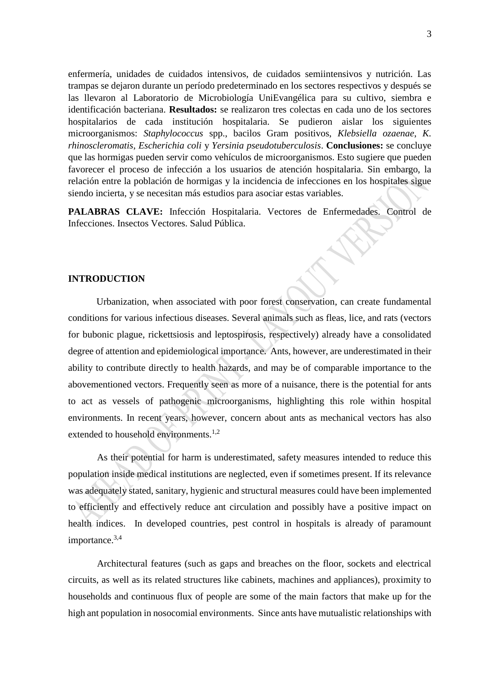enfermería, unidades de cuidados intensivos, de cuidados semiintensivos y nutrición. Las trampas se dejaron durante un período predeterminado en los sectores respectivos y después se las llevaron al Laboratorio de Microbiología UniEvangélica para su cultivo, siembra e identificación bacteriana. **Resultados:** se realizaron tres colectas en cada uno de los sectores hospitalarios de cada institución hospitalaria. Se pudieron aislar los siguientes microorganismos: *Staphylococcus* spp., bacilos Gram positivos, *Klebsiella ozaenae*, *K. rhinoscleromatis*, *Escherichia coli* y *Yersinia pseudotuberculosis*. **Conclusiones:** se concluye que las hormigas pueden servir como vehículos de microorganismos. Esto sugiere que pueden favorecer el proceso de infección a los usuarios de atención hospitalaria. Sin embargo, la relación entre la población de hormigas y la incidencia de infecciones en los hospitales sigue siendo incierta, y se necesitan más estudios para asociar estas variables.

**PALABRAS CLAVE:** Infección Hospitalaria. Vectores de Enfermedades. Control de Infecciones. Insectos Vectores. Salud Pública.

## **INTRODUCTION**

Urbanization, when associated with poor forest conservation, can create fundamental conditions for various infectious diseases. Several animals such as fleas, lice, and rats (vectors for bubonic plague, rickettsiosis and leptospirosis, respectively) already have a consolidated degree of attention and epidemiological importance. Ants, however, are underestimated in their ability to contribute directly to health hazards, and may be of comparable importance to the abovementioned vectors. Frequently seen as more of a nuisance, there is the potential for ants to act as vessels of pathogenic microorganisms, highlighting this role within hospital environments. In recent years, however, concern about ants as mechanical vectors has also extended to household environments.<sup>1,2</sup>

As their potential for harm is underestimated, safety measures intended to reduce this population inside medical institutions are neglected, even if sometimes present. If its relevance was adequately stated, sanitary, hygienic and structural measures could have been implemented to efficiently and effectively reduce ant circulation and possibly have a positive impact on health indices. In developed countries, pest control in hospitals is already of paramount importance.3,4

Architectural features (such as gaps and breaches on the floor, sockets and electrical circuits, as well as its related structures like cabinets, machines and appliances), proximity to households and continuous flux of people are some of the main factors that make up for the high ant population in nosocomial environments. Since ants have mutualistic relationships with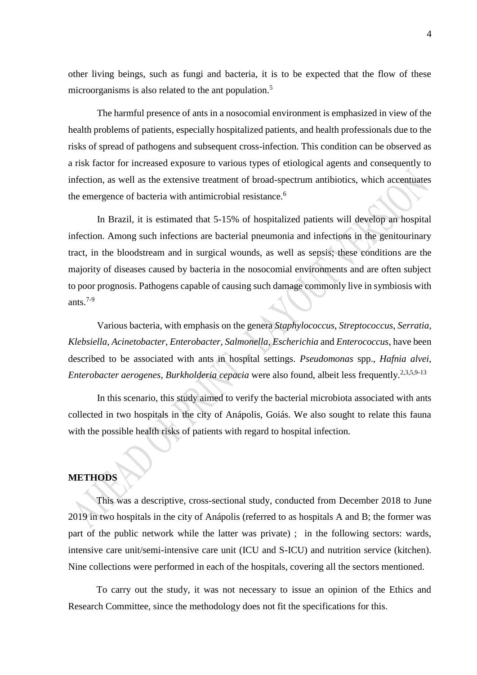other living beings, such as fungi and bacteria, it is to be expected that the flow of these microorganisms is also related to the ant population.<sup>5</sup>

The harmful presence of ants in a nosocomial environment is emphasized in view of the health problems of patients, especially hospitalized patients, and health professionals due to the risks of spread of pathogens and subsequent cross-infection. This condition can be observed as a risk factor for increased exposure to various types of etiological agents and consequently to infection, as well as the extensive treatment of broad-spectrum antibiotics, which accentuates the emergence of bacteria with antimicrobial resistance.<sup>6</sup>

In Brazil, it is estimated that 5-15% of hospitalized patients will develop an hospital infection. Among such infections are bacterial pneumonia and infections in the genitourinary tract, in the bloodstream and in surgical wounds, as well as sepsis; these conditions are the majority of diseases caused by bacteria in the nosocomial environments and are often subject to poor prognosis. Pathogens capable of causing such damage commonly live in symbiosis with ants $7-9$ 

Various bacteria, with emphasis on the genera *Staphylococcus*, *Streptococcus*, *Serratia*, *Klebsiella*, *Acinetobacter*, *Enterobacter*, *Salmonella*, *Escherichia* and *Enterococcus*, have been described to be associated with ants in hospital settings. *Pseudomonas* spp., *Hafnia alvei*, *Enterobacter aerogenes*, *Burkholderia cepacia* were also found, albeit less frequently.2,3,5,9-13

In this scenario, this study aimed to verify the bacterial microbiota associated with ants collected in two hospitals in the city of Anápolis, Goiás. We also sought to relate this fauna with the possible health risks of patients with regard to hospital infection.

# **METHODS**

This was a descriptive, cross-sectional study, conducted from December 2018 to June 2019 in two hospitals in the city of Anápolis (referred to as hospitals A and B; the former was part of the public network while the latter was private) ; in the following sectors: wards, intensive care unit/semi-intensive care unit (ICU and S-ICU) and nutrition service (kitchen). Nine collections were performed in each of the hospitals, covering all the sectors mentioned.

To carry out the study, it was not necessary to issue an opinion of the Ethics and Research Committee, since the methodology does not fit the specifications for this.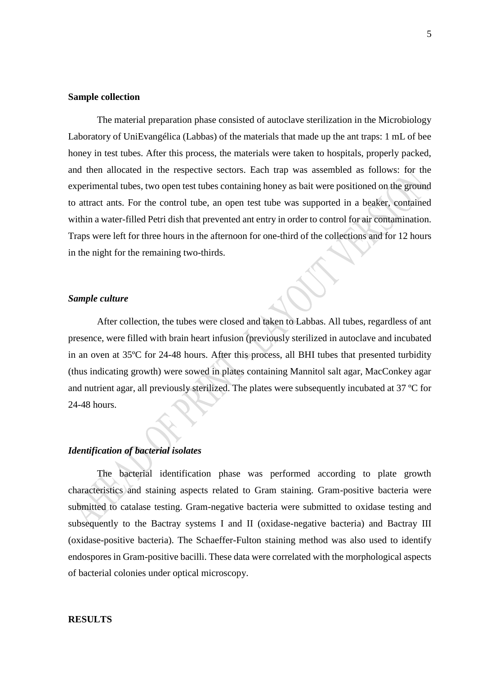#### **Sample collection**

The material preparation phase consisted of autoclave sterilization in the Microbiology Laboratory of UniEvangélica (Labbas) of the materials that made up the ant traps: 1 mL of bee honey in test tubes. After this process, the materials were taken to hospitals, properly packed, and then allocated in the respective sectors. Each trap was assembled as follows: for the experimental tubes, two open test tubes containing honey as bait were positioned on the ground to attract ants. For the control tube, an open test tube was supported in a beaker, contained within a water-filled Petri dish that prevented ant entry in order to control for air contamination. Traps were left for three hours in the afternoon for one-third of the collections and for 12 hours in the night for the remaining two-thirds.

#### *Sample culture*

After collection, the tubes were closed and taken to Labbas. All tubes, regardless of ant presence, were filled with brain heart infusion (previously sterilized in autoclave and incubated in an oven at 35ºC for 24-48 hours. After this process, all BHI tubes that presented turbidity (thus indicating growth) were sowed in plates containing Mannitol salt agar, MacConkey agar and nutrient agar, all previously sterilized. The plates were subsequently incubated at 37 ºC for 24-48 hours.

## *Identification of bacterial isolates*

The bacterial identification phase was performed according to plate growth characteristics and staining aspects related to Gram staining. Gram-positive bacteria were submitted to catalase testing. Gram-negative bacteria were submitted to oxidase testing and subsequently to the Bactray systems I and II (oxidase-negative bacteria) and Bactray III (oxidase-positive bacteria). The Schaeffer-Fulton staining method was also used to identify endospores in Gram-positive bacilli. These data were correlated with the morphological aspects of bacterial colonies under optical microscopy.

## **RESULTS**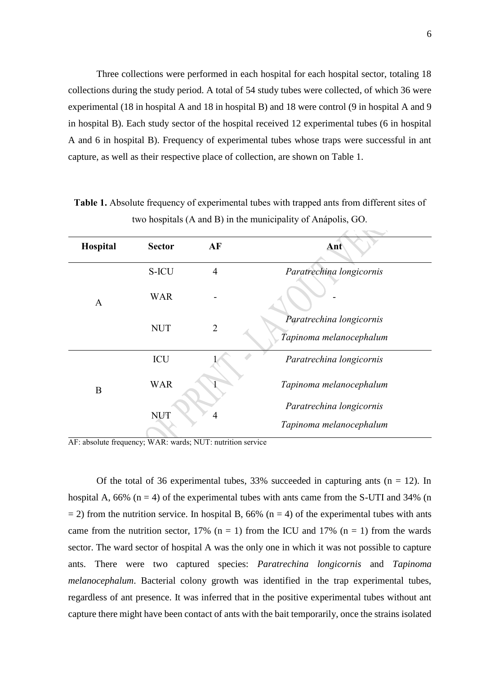Three collections were performed in each hospital for each hospital sector, totaling 18 collections during the study period. A total of 54 study tubes were collected, of which 36 were experimental (18 in hospital A and 18 in hospital B) and 18 were control (9 in hospital A and 9 in hospital B). Each study sector of the hospital received 12 experimental tubes (6 in hospital A and 6 in hospital B). Frequency of experimental tubes whose traps were successful in ant capture, as well as their respective place of collection, are shown on Table 1.

| Hospital     | <b>Sector</b> | AF             | Ant                      |
|--------------|---------------|----------------|--------------------------|
| $\mathbf{A}$ | S-ICU         | $\overline{4}$ | Paratrechina longicornis |
|              | <b>WAR</b>    |                |                          |
|              | <b>NUT</b>    | $\overline{2}$ | Paratrechina longicornis |
|              |               |                | Tapinoma melanocephalum  |
| B            | ICU           |                | Paratrechina longicornis |
|              | <b>WAR</b>    |                | Tapinoma melanocephalum  |
|              | <b>NUT</b>    | 4              | Paratrechina longicornis |
|              |               |                | Tapinoma melanocephalum  |

**Table 1.** Absolute frequency of experimental tubes with trapped ants from different sites of two hospitals (A and B) in the municipality of Anápolis, GO.

AF: absolute frequency; WAR: wards; NUT: nutrition service

Of the total of 36 experimental tubes, 33% succeeded in capturing ants  $(n = 12)$ . In hospital A,  $66\%$  (n = 4) of the experimental tubes with ants came from the S-UTI and 34% (n  $= 2$ ) from the nutrition service. In hospital B, 66% (n = 4) of the experimental tubes with ants came from the nutrition sector, 17% ( $n = 1$ ) from the ICU and 17% ( $n = 1$ ) from the wards sector. The ward sector of hospital A was the only one in which it was not possible to capture ants. There were two captured species: *Paratrechina longicornis* and *Tapinoma melanocephalum*. Bacterial colony growth was identified in the trap experimental tubes, regardless of ant presence. It was inferred that in the positive experimental tubes without ant capture there might have been contact of ants with the bait temporarily, once the strains isolated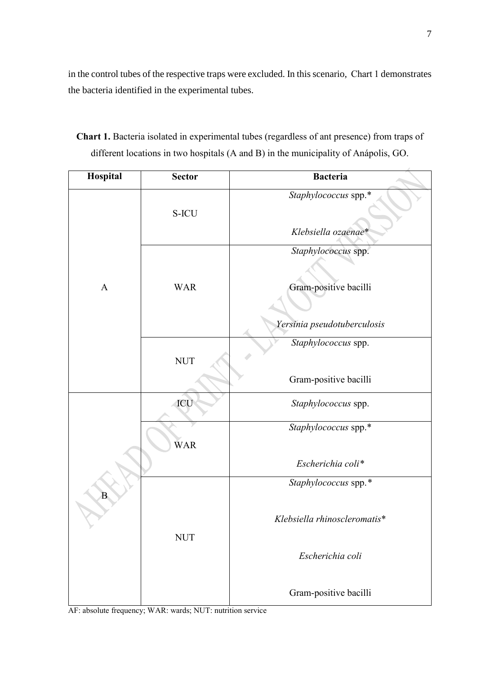in the control tubes of the respective traps were excluded. In this scenario, Chart 1 demonstrates the bacteria identified in the experimental tubes.

| Hospital     | <b>Sector</b> | <b>Bacteria</b>              |
|--------------|---------------|------------------------------|
|              |               | Staphylococcus spp.*         |
|              | S-ICU         |                              |
|              |               | Klebsiella ozaenae*          |
|              |               | Staphylococcus spp.          |
|              |               |                              |
| $\mathbf{A}$ | <b>WAR</b>    | Gram-positive bacilli        |
|              |               |                              |
|              |               | Yersinia pseudotuberculosis  |
|              |               | Staphylococcus spp.          |
|              | <b>NUT</b>    |                              |
|              |               | Gram-positive bacilli        |
|              | ICU           | Staphylococcus spp.          |
|              |               | Staphylococcus spp.*         |
|              | <b>WAR</b>    |                              |
|              |               | Escherichia coli*            |
|              |               | Staphylococcus spp.*         |
|              |               |                              |
|              |               | Klebsiella rhinoscleromatis* |
|              | <b>NUT</b>    |                              |
|              |               | Escherichia coli             |
|              |               |                              |
|              |               | Gram-positive bacilli        |

**Chart 1.** Bacteria isolated in experimental tubes (regardless of ant presence) from traps of different locations in two hospitals (A and B) in the municipality of Anápolis, GO.

AF: absolute frequency; WAR: wards; NUT: nutrition service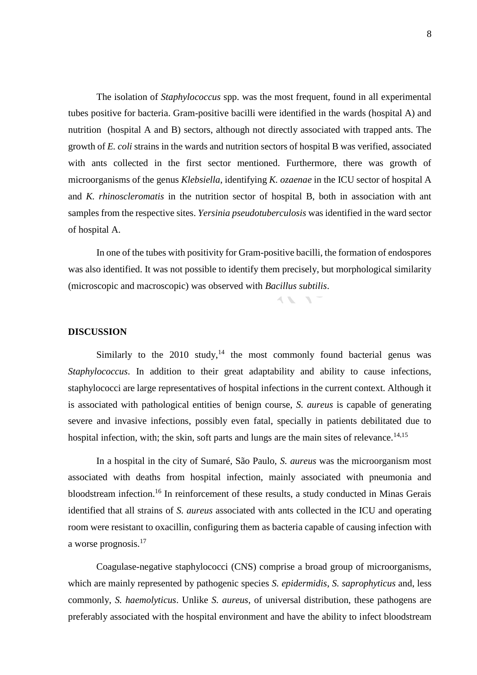The isolation of *Staphylococcus* spp. was the most frequent, found in all experimental tubes positive for bacteria. Gram-positive bacilli were identified in the wards (hospital A) and nutrition (hospital A and B) sectors, although not directly associated with trapped ants. The growth of *E. coli* strains in the wards and nutrition sectors of hospital B was verified, associated with ants collected in the first sector mentioned. Furthermore, there was growth of microorganisms of the genus *Klebsiella*, identifying *K. ozaenae* in the ICU sector of hospital A and *K. rhinoscleromatis* in the nutrition sector of hospital B, both in association with ant samples from the respective sites. *Yersinia pseudotuberculosis* was identified in the ward sector of hospital A.

In one of the tubes with positivity for Gram-positive bacilli, the formation of endospores was also identified. It was not possible to identify them precisely, but morphological similarity (microscopic and macroscopic) was observed with *Bacillus subtilis*.

# **DISCUSSION**

Similarly to the 2010 study, $14$  the most commonly found bacterial genus was *Staphylococcus*. In addition to their great adaptability and ability to cause infections, staphylococci are large representatives of hospital infections in the current context. Although it is associated with pathological entities of benign course, *S. aureus* is capable of generating severe and invasive infections, possibly even fatal, specially in patients debilitated due to hospital infection, with; the skin, soft parts and lungs are the main sites of relevance.<sup>14,15</sup>

In a hospital in the city of Sumaré, São Paulo, *S. aureus* was the microorganism most associated with deaths from hospital infection, mainly associated with pneumonia and bloodstream infection.<sup>16</sup> In reinforcement of these results, a study conducted in Minas Gerais identified that all strains of *S. aureus* associated with ants collected in the ICU and operating room were resistant to oxacillin, configuring them as bacteria capable of causing infection with a worse prognosis.<sup>17</sup>

Coagulase-negative staphylococci (CNS) comprise a broad group of microorganisms, which are mainly represented by pathogenic species *S. epidermidis*, *S. saprophyticus* and, less commonly, *S. haemolyticus*. Unlike *S. aureus*, of universal distribution, these pathogens are preferably associated with the hospital environment and have the ability to infect bloodstream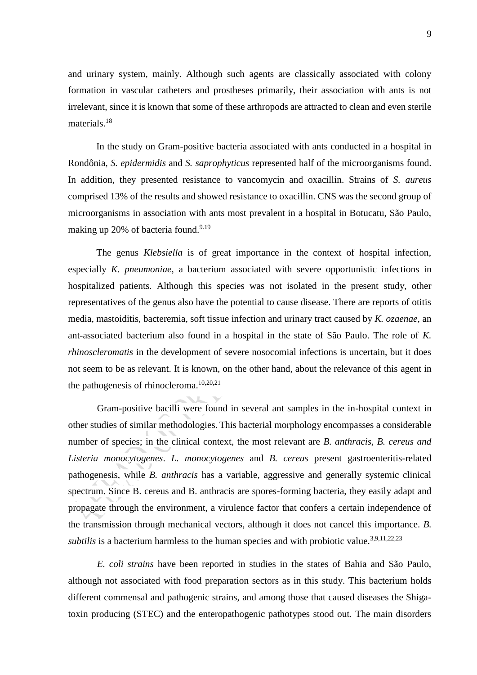and urinary system, mainly. Although such agents are classically associated with colony formation in vascular catheters and prostheses primarily, their association with ants is not irrelevant, since it is known that some of these arthropods are attracted to clean and even sterile materials.<sup>18</sup>

In the study on Gram-positive bacteria associated with ants conducted in a hospital in Rondônia, *S. epidermidis* and *S. saprophyticus* represented half of the microorganisms found. In addition, they presented resistance to vancomycin and oxacillin. Strains of *S. aureus* comprised 13% of the results and showed resistance to oxacillin. CNS was the second group of microorganisms in association with ants most prevalent in a hospital in Botucatu, São Paulo, making up 20% of bacteria found.<sup>9.19</sup>

The genus *Klebsiella* is of great importance in the context of hospital infection, especially *K. pneumoniae*, a bacterium associated with severe opportunistic infections in hospitalized patients. Although this species was not isolated in the present study, other representatives of the genus also have the potential to cause disease. There are reports of otitis media, mastoiditis, bacteremia, soft tissue infection and urinary tract caused by *K. ozaenae*, an ant-associated bacterium also found in a hospital in the state of São Paulo. The role of *K. rhinoscleromatis* in the development of severe nosocomial infections is uncertain, but it does not seem to be as relevant. It is known, on the other hand, about the relevance of this agent in the pathogenesis of rhinocleroma. $10,20,21$ 

Gram-positive bacilli were found in several ant samples in the in-hospital context in other studies of similar methodologies. This bacterial morphology encompasses a considerable number of species; in the clinical context, the most relevant are *B. anthracis, B. cereus and Listeria monocytogenes*. *L. monocytogenes* and *B. cereus* present gastroenteritis-related pathogenesis, while *B. anthracis* has a variable, aggressive and generally systemic clinical spectrum. Since B. cereus and B. anthracis are spores-forming bacteria, they easily adapt and propagate through the environment, a virulence factor that confers a certain independence of the transmission through mechanical vectors, although it does not cancel this importance. *B. subtilis* is a bacterium harmless to the human species and with probiotic value.<sup>3,9,11,22,23</sup>

*E. coli strains* have been reported in studies in the states of Bahia and São Paulo, although not associated with food preparation sectors as in this study. This bacterium holds different commensal and pathogenic strains, and among those that caused diseases the Shigatoxin producing (STEC) and the enteropathogenic pathotypes stood out. The main disorders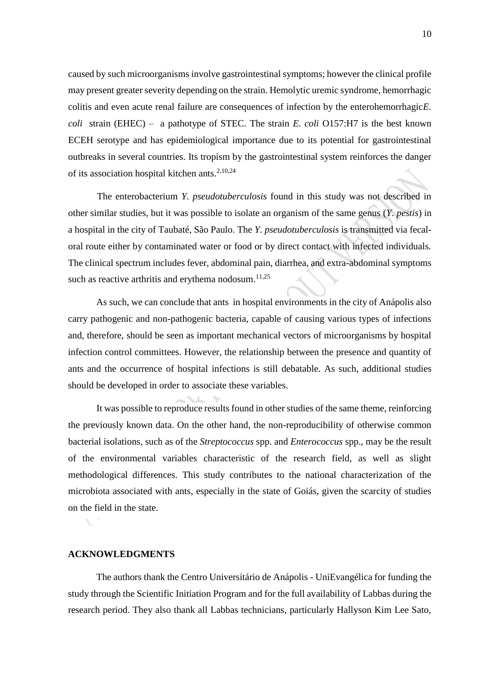caused by such microorganisms involve gastrointestinal symptoms; however the clinical profile may present greater severity depending on the strain. Hemolytic uremic syndrome, hemorrhagic colitis and even acute renal failure are consequences of infection by the enterohemorrhagic*E. coli* strain (EHEC) – a pathotype of STEC. The strain *E. coli* O157:H7 is the best known ECEH serotype and has epidemiological importance due to its potential for gastrointestinal outbreaks in several countries. Its tropism by the gastrointestinal system reinforces the danger of its association hospital kitchen ants.<sup>2,10,24</sup>

The enterobacterium *Y. pseudotuberculosis* found in this study was not described in other similar studies, but it was possible to isolate an organism of the same genus (*Y. pestis*) in a hospital in the city of Taubaté, São Paulo. The *Y. pseudotuberculosis* is transmitted via fecaloral route either by contaminated water or food or by direct contact with infected individuals. The clinical spectrum includes fever, abdominal pain, diarrhea, and extra-abdominal symptoms such as reactive arthritis and erythema nodosum. $11,25$ 

As such, we can conclude that ants in hospital environments in the city of Anápolis also carry pathogenic and non-pathogenic bacteria, capable of causing various types of infections and, therefore, should be seen as important mechanical vectors of microorganisms by hospital infection control committees. However, the relationship between the presence and quantity of ants and the occurrence of hospital infections is still debatable. As such, additional studies should be developed in order to associate these variables.

It was possible to reproduce results found in other studies of the same theme, reinforcing the previously known data. On the other hand, the non-reproducibility of otherwise common bacterial isolations, such as of the *Streptococcus* spp. and *Enterococcus* spp., may be the result of the environmental variables characteristic of the research field, as well as slight methodological differences. This study contributes to the national characterization of the microbiota associated with ants, especially in the state of Goiás, given the scarcity of studies on the field in the state.

#### **ACKNOWLEDGMENTS**

The authors thank the Centro Universitário de Anápolis - UniEvangélica for funding the study through the Scientific Initiation Program and for the full availability of Labbas during the research period. They also thank all Labbas technicians, particularly Hallyson Kim Lee Sato,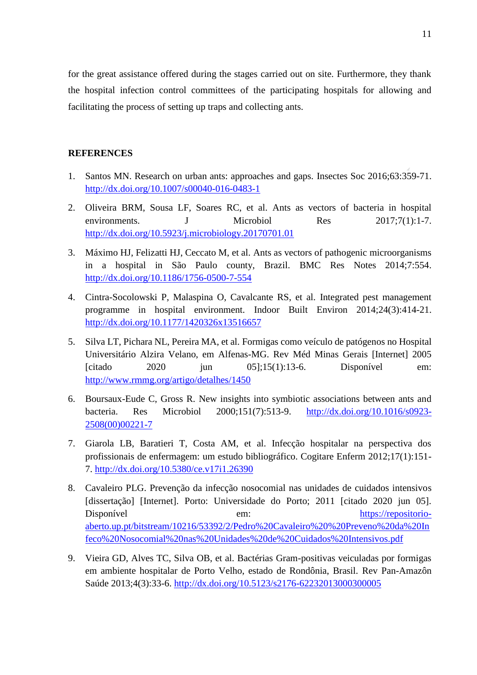for the great assistance offered during the stages carried out on site. Furthermore, they thank the hospital infection control committees of the participating hospitals for allowing and facilitating the process of setting up traps and collecting ants.

# **REFERENCES**

- 1. Santos MN. Research on urban ants: approaches and gaps. Insectes Soc 2016;63:359-71. <http://dx.doi.org/10.1007/s00040-016-0483-1>
- 2. Oliveira BRM, Sousa LF, Soares RC, et al. Ants as vectors of bacteria in hospital environments. J Microbiol Res 2017;7(1):1-7. <http://dx.doi.org/10.5923/j.microbiology.20170701.01>
- 3. Máximo HJ, Felizatti HJ, Ceccato M, et al. Ants as vectors of pathogenic microorganisms in a hospital in São Paulo county, Brazil. BMC Res Notes 2014;7:554. <http://dx.doi.org/10.1186/1756-0500-7-554>
- 4. Cintra-Socolowski P, Malaspina O, Cavalcante RS, et al. Integrated pest management programme in hospital environment. Indoor Built Environ 2014;24(3):414-21. <http://dx.doi.org/10.1177/1420326x13516657>
- 5. Silva LT, Pichara NL, Pereira MA, et al. Formigas como veículo de patógenos no Hospital Universitário Alzira Velano, em Alfenas-MG. Rev Méd Minas Gerais [Internet] 2005  $[citado$  2020  $j$ un 05];15(1):13-6. Disponível em: <http://www.rmmg.org/artigo/detalhes/1450>
- 6. Boursaux-Eude C, Gross R. New insights into symbiotic associations between ants and bacteria. Res Microbiol 2000;151(7):513-9. [http://dx.doi.org/10.1016/s0923-](http://dx.doi.org/10.1016/s0923-2508(00)00221-7) [2508\(00\)00221-7](http://dx.doi.org/10.1016/s0923-2508(00)00221-7)
- 7. Giarola LB, Baratieri T, Costa AM, et al. Infecção hospitalar na perspectiva dos profissionais de enfermagem: um estudo bibliográfico. Cogitare Enferm 2012;17(1):151- 7.<http://dx.doi.org/10.5380/ce.v17i1.26390>
- 8. Cavaleiro PLG. Prevenção da infecção nosocomial nas unidades de cuidados intensivos [dissertação] [Internet]. Porto: Universidade do Porto; 2011 [citado 2020 jun 05]. Disponível em: [https://repositorio](https://repositorio-aberto.up.pt/bitstream/10216/53392/2/Pedro%20Cavaleiro%20%20Preveno%20da%20Infeco%20Nosocomial%20nas%20Unidades%20de%20Cuidados%20Intensivos.pdf)[aberto.up.pt/bitstream/10216/53392/2/Pedro%20Cavaleiro%20%20Preveno%20da%20In](https://repositorio-aberto.up.pt/bitstream/10216/53392/2/Pedro%20Cavaleiro%20%20Preveno%20da%20Infeco%20Nosocomial%20nas%20Unidades%20de%20Cuidados%20Intensivos.pdf) [feco%20Nosocomial%20nas%20Unidades%20de%20Cuidados%20Intensivos.pdf](https://repositorio-aberto.up.pt/bitstream/10216/53392/2/Pedro%20Cavaleiro%20%20Preveno%20da%20Infeco%20Nosocomial%20nas%20Unidades%20de%20Cuidados%20Intensivos.pdf)
- 9. Vieira GD, Alves TC, Silva OB, et al. Bactérias Gram-positivas veiculadas por formigas em ambiente hospitalar de Porto Velho, estado de Rondônia, Brasil. Rev Pan-Amazôn Saúde 2013;4(3):33-6.<http://dx.doi.org/10.5123/s2176-62232013000300005>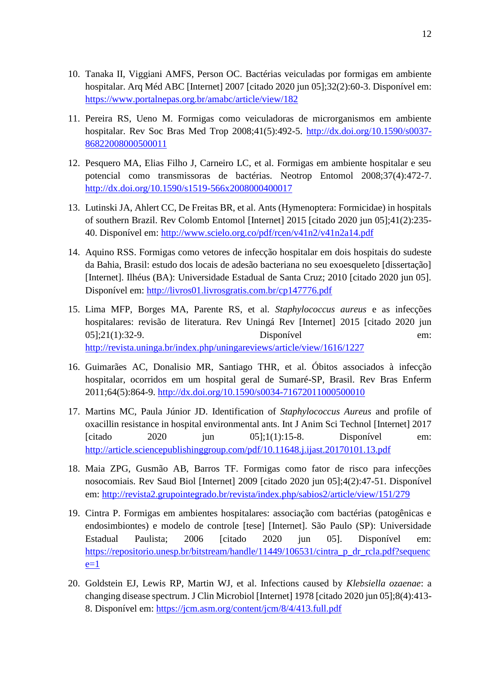- 10. Tanaka II, Viggiani AMFS, Person OC. Bactérias veiculadas por formigas em ambiente hospitalar. Arq Méd ABC [Internet] 2007 [citado 2020 jun 05];32(2):60-3. Disponível em: <https://www.portalnepas.org.br/amabc/article/view/182>
- 11. Pereira RS, Ueno M. Formigas como veiculadoras de microrganismos em ambiente hospitalar. Rev Soc Bras Med Trop 2008;41(5):492-5. [http://dx.doi.org/10.1590/s0037-](http://dx.doi.org/10.1590/s0037-86822008000500011) [86822008000500011](http://dx.doi.org/10.1590/s0037-86822008000500011)
- 12. Pesquero MA, Elias Filho J, Carneiro LC, et al. Formigas em ambiente hospitalar e seu potencial como transmissoras de bactérias. Neotrop Entomol 2008;37(4):472-7. <http://dx.doi.org/10.1590/s1519-566x2008000400017>
- 13. Lutinski JA, Ahlert CC, De Freitas BR, et al. Ants (Hymenoptera: Formicidae) in hospitals of southern Brazil. Rev Colomb Entomol [Internet] 2015 [citado 2020 jun 05];41(2):235- 40. Disponível em:<http://www.scielo.org.co/pdf/rcen/v41n2/v41n2a14.pdf>
- 14. Aquino RSS. Formigas como vetores de infecção hospitalar em dois hospitais do sudeste da Bahia, Brasil: estudo dos locais de adesão bacteriana no seu exoesqueleto [dissertação] [Internet]. Ilhéus (BA): Universidade Estadual de Santa Cruz; 2010 [citado 2020 jun 05]. Disponível em:<http://livros01.livrosgratis.com.br/cp147776.pdf>
- 15. Lima MFP, Borges MA, Parente RS, et al. *Staphylococcus aureus* e as infecções hospitalares: revisão de literatura. Rev Uningá Rev [Internet] 2015 [citado 2020 jun 05];21(1):32-9. Disponível em: <http://revista.uninga.br/index.php/uningareviews/article/view/1616/1227>
- 16. Guimarães AC, Donalisio MR, Santiago THR, et al. Óbitos associados à infecção hospitalar, ocorridos em um hospital geral de Sumaré-SP, Brasil. Rev Bras Enferm 2011;64(5):864-9.<http://dx.doi.org/10.1590/s0034-71672011000500010>
- 17. Martins MC, Paula Júnior JD. Identification of *Staphylococcus Aureus* and profile of oxacillin resistance in hospital environmental ants. Int J Anim Sci Technol [Internet] 2017  $[citado$  2020  $j$ un 05];1(1):15-8. Disponível em: <http://article.sciencepublishinggroup.com/pdf/10.11648.j.ijast.20170101.13.pdf>
- 18. Maia ZPG, Gusmão AB, Barros TF. Formigas como fator de risco para infecções nosocomiais. Rev Saud Biol [Internet] 2009 [citado 2020 jun 05];4(2):47-51. Disponível em:<http://revista2.grupointegrado.br/revista/index.php/sabios2/article/view/151/279>
- 19. Cintra P. Formigas em ambientes hospitalares: associação com bactérias (patogênicas e endosimbiontes) e modelo de controle [tese] [Internet]. São Paulo (SP): Universidade Estadual Paulista; 2006 [citado 2020 jun 05]. Disponível em: [https://repositorio.unesp.br/bitstream/handle/11449/106531/cintra\\_p\\_dr\\_rcla.pdf?sequenc](https://repositorio.unesp.br/bitstream/handle/11449/106531/cintra_p_dr_rcla.pdf?sequence=1)  $e=1$
- 20. Goldstein EJ, Lewis RP, Martin WJ, et al. Infections caused by *Klebsiella ozaenae*: a changing disease spectrum. J Clin Microbiol [Internet] 1978 [citado 2020 jun 05];8(4):413- 8. Disponível em:<https://jcm.asm.org/content/jcm/8/4/413.full.pdf>